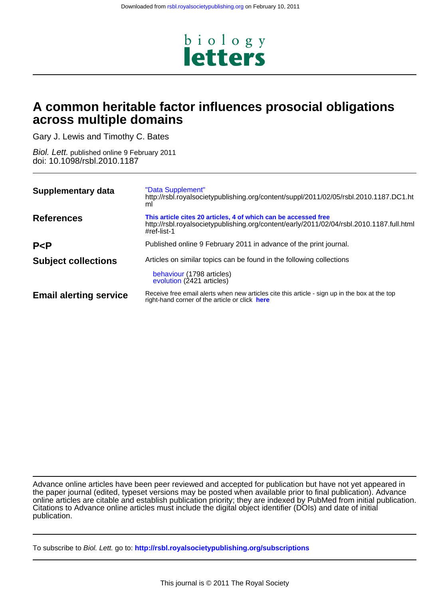

## **across multiple domains A common heritable factor influences prosocial obligations**

Gary J. Lewis and Timothy C. Bates

doi: 10.1098/rsbl.2010.1187 Biol. Lett. published online 9 February 2011

| <b>Supplementary data</b>     | "Data Supplement"<br>http://rsbl.royalsocietypublishing.org/content/suppl/2011/02/05/rsbl.2010.1187.DC1.ht<br>ml                                                           |  |  |  |  |
|-------------------------------|----------------------------------------------------------------------------------------------------------------------------------------------------------------------------|--|--|--|--|
| <b>References</b>             | This article cites 20 articles, 4 of which can be accessed free<br>http://rsbl.royalsocietypublishing.org/content/early/2011/02/04/rsbl.2010.1187.full.html<br>#ref-list-1 |  |  |  |  |
| P < P                         | Published online 9 February 2011 in advance of the print journal.                                                                                                          |  |  |  |  |
| <b>Subject collections</b>    | Articles on similar topics can be found in the following collections                                                                                                       |  |  |  |  |
|                               | behaviour (1798 articles)<br>evolution (2421 articles)                                                                                                                     |  |  |  |  |
| <b>Email alerting service</b> | Receive free email alerts when new articles cite this article - sign up in the box at the top<br>right-hand corner of the article or click here                            |  |  |  |  |

publication. Citations to Advance online articles must include the digital object identifier (DOIs) and date of initial online articles are citable and establish publication priority; they are indexed by PubMed from initial publication. the paper journal (edited, typeset versions may be posted when available prior to final publication). Advance Advance online articles have been peer reviewed and accepted for publication but have not yet appeared in

To subscribe to Biol. Lett. go to: **<http://rsbl.royalsocietypublishing.org/subscriptions>**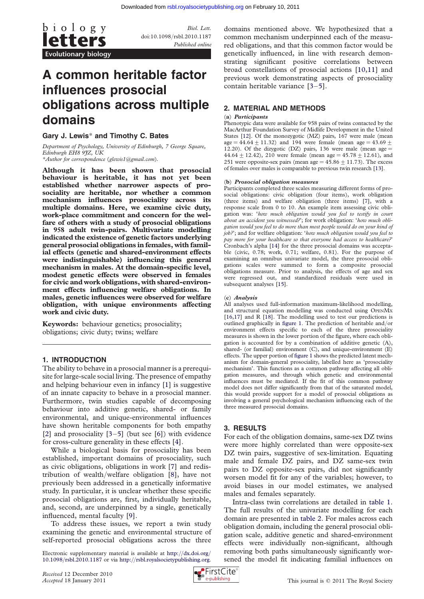

Biol. Lett. doi:10.1098/rsbl.2010.1187 Published online

# A common heritable factor influences prosocial obligations across multiple domains

## Gary J. Lewis\* and Timothy C. Bates

Department of Psychology, University of Edinburgh, 7 George Square, Edinburgh EH8 9JZ, UK \*Author for correspondence ([glewis1@gmail.com](mailto:glewis1@gmail.com)).

Although it has been shown that prosocial behaviour is heritable, it has not yet been established whether narrower aspects of prosociality are heritable, nor whether a common mechanism influences prosociality across its multiple domains. Here, we examine civic duty, work-place commitment and concern for the welfare of others with a study of prosocial obligations in 958 adult twin-pairs. Multivariate modelling indicated the existence of genetic factors underlying general prosocial obligations in females, with familial effects (genetic and shared-environment effects were indistinguishable) influencing this general mechanism in males. At the domain-specific level, modest genetic effects were observed in females for civic and work obligations, with shared-environment effects influencing welfare obligations. In males, genetic influences were observed for welfare obligation, with unique environments affecting work and civic duty.

Keywords: behaviour genetics; prosociality; obligations; civic duty; twins; welfare

#### 1. INTRODUCTION

The ability to behave in a prosocial manner is a prerequisite for large-scale social living. The presence of empathy and helping behaviour even in infancy [\[1\]](#page-3-0) is suggestive of an innate capacity to behave in a prosocial manner. Furthermore, twin studies capable of decomposing behaviour into additive genetic, shared- or family environmental, and unique-environmental influences have shown heritable components for both empathy [\[2\]](#page-3-0) and prosociality  $[3-5]$  $[3-5]$  $[3-5]$  $[3-5]$  (but see [\[6\]](#page-4-0)) with evidence for cross-culture generality in these effects [\[4\]](#page-4-0).

While a biological basis for prosociality has been established, important domains of prosociality, such as civic obligations, obligations in work [[7](#page-4-0)] and redistribution of wealth/welfare obligation [\[8](#page-4-0)], have not previously been addressed in a genetically informative study. In particular, it is unclear whether these specific prosocial obligations are, first, individually heritable, and, second, are underpinned by a single, genetically influenced, mental faculty [[9](#page-4-0)].

To address these issues, we report a twin study examining the genetic and environmental structure of self-reported prosocial obligations across the three

Electronic supplementary material is available at [http:](http://dx.doi.org/10.1098/rsbl.2010.1187)//[dx.doi.org](http://dx.doi.org/10.1098/rsbl.2010.1187)/ 10.1098/[rsbl.2010.1187](http://dx.doi.org/10.1098/rsbl.2010.1187) or via [http:](http://rsbl.royalsocietypublishing.org)//[rsbl.royalsocietypublishing.org](http://rsbl.royalsocietypublishing.org).

domains mentioned above. We hypothesized that a common mechanism underpinned each of the measured obligations, and that this common factor would be genetically influenced, in line with research demonstrating significant positive correlations between broad constellations of prosocial actions [\[10,11](#page-4-0)] and previous work demonstrating aspects of prosociality contain heritable variance [[3](#page-3-0)–[5\]](#page-4-0).

### 2. MATERIAL AND METHODS

#### (a) Participants

Phenotypic data were available for 958 pairs of twins contacted by the MacArthur Foundation Survey of Midlife Development in the United States [\[12\]](#page-4-0). Of the monozygotic (MZ) pairs, 167 were male (mean age =  $44.64 \pm 11.32$ ) and 194 were female (mean age =  $43.69 \pm$ 12.20). Of the dizygotic (DZ) pairs, 136 were male (mean age  $=$ 44.64  $\pm$  12.42), 210 were female (mean age = 45.78  $\pm$  12.61), and 251 were opposite-sex pairs (mean age  $= 45.86 + 11.73$ ). The excess of females over males is comparable to previous twin research [[13](#page-4-0)].

#### (b) Prosocial obligation measures

Participants completed three scales measuring different forms of prosocial obligations: civic obligation (four items), work obligation (three items) and welfare obligation (three items) [\[7](#page-4-0)], with a response scale from 0 to 10. An example item assessing civic obligation was: 'how much obligation would you feel to testify in court about an accident you witnessed?'; for work obligation: 'how much obligation would you feel to do more than most people would do on your kind of job?'; and for welfare obligation: 'how much obligation would you feel to pay more for your healthcare so that everyone had access to healthcare?' Cronbach's alpha [\[14\]](#page-4-0) for the three prosocial domains was acceptable (civic, 0.78; work, 0.71; welfare, 0.81). For the purpose of examining an omnibus univariate model, the three prosocial obligations scales were summed to form a composite prosocial obligations measure. Prior to analysis, the effects of age and sex were regressed out, and standardized residuals were used in subsequent analyses [\[15\]](#page-4-0).

#### (c) Analysis

All analyses used full-information maximum-likelihood modelling, and structural equation modelling was conducted using OPENMX [[16](#page-4-0),[17](#page-4-0)] and R [[18\]](#page-4-0). The modelling used to test our predictions is outlined graphically in [figure 1.](#page-2-0) The prediction of heritable and/or environment effects specific to each of the three prosociality measures is shown in the lower portion of the figure, where each obligation is accounted for by a combination of additive genetic (A), shared- (or familial) environment (C), and unique-environment (E) effects. The upper portion of [figure 1](#page-2-0) shows the predicted latent mechanism for domain-general prosociality, labelled here as 'prosociality mechanism'. This functions as a common pathway affecting all obligation measures, and through which genetic and environmental influences must be mediated. If the fit of this common pathway model does not differ significantly from that of the saturated model, this would provide support for a model of prosocial obligations as involving a general psychological mechanism influencing each of the three measured prosocial domains.

#### 3. RESULTS

For each of the obligation domains, same-sex DZ twins were more highly correlated than were opposite-sex DZ twin pairs, suggestive of sex-limitation. Equating male and female DZ pairs, and DZ same-sex twin pairs to DZ opposite-sex pairs, did not significantly worsen model fit for any of the variables; however, to avoid biases in our model estimates, we analysed males and females separately.

Intra-class twin correlations are detailed in [table 1.](#page-2-0) The full results of the univariate modelling for each domain are presented in [table 2](#page-3-0). For males across each obligation domain, including the general prosocial obligation scale, additive genetic and shared-environment effects were individually non-significant, although removing both paths simultaneously significantly worsened the model fit indicating familial influences on

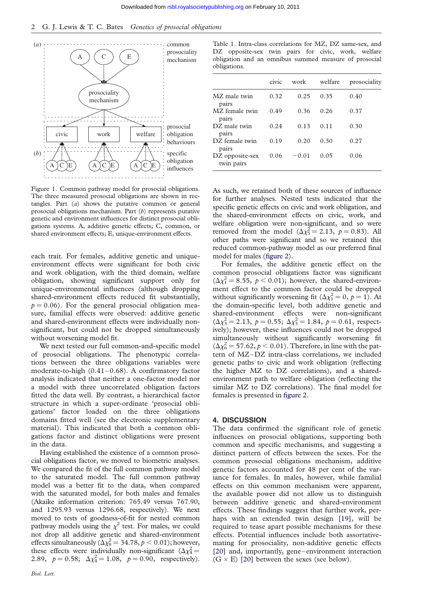<span id="page-2-0"></span>



Figure 1. Common pathway model for prosocial obligations. The three measured prosocial obligations are shown in rectangles. Part  $(a)$  shows the putative common or general prosocial obligations mechanism. Part  $(b)$  represents putative genetic and environment influences for distinct prosocial obligations systems. A, additive genetic effects; C, common, or shared environment effects; E, unique-environment effects.

each trait. For females, additive genetic and uniqueenvironment effects were significant for both civic and work obligation, with the third domain, welfare obligation, showing significant support only for unique-environmental influences (although dropping shared-environment effects reduced fit substantially,  $p = 0.06$ ). For the general prosocial obligation measure, familial effects were observed: additive genetic and shared-environment effects were individually nonsignificant, but could not be dropped simultaneously without worsening model fit.

We next tested our full common-and-specific model of prosocial obligations. The phenotypic correlations between the three obligations variables were moderate-to-high  $(0.41-0.68)$ . A confirmatory factor analysis indicated that neither a one-factor model nor a model with three uncorrelated obligation factors fitted the data well. By contrast, a hierarchical factor structure in which a super-ordinate 'prosocial obligations' factor loaded on the three obligations domains fitted well (see the electronic supplementary material). This indicated that both a common obligations factor and distinct obligations were present in the data.

Having established the existence of a common prosocial obligations factor, we moved to biometric analyses. We compared the fit of the full common pathway model to the saturated model. The full common pathway model was a better fit to the data, when compared with the saturated model, for both males and females (Akaike information criterion: 765.49 versus 767.90, and 1295.93 versus 1296.68, respectively). We next moved to tests of goodness-of-fit for nested common pathway models using the  $\chi^2$  test. For males, we could not drop all additive genetic and shared-environment effects simultaneously ( $\Delta \chi^2_8 = 34.78, p < 0.01$ ); however, these effects were individually non-significant  $(\Delta \chi^2)$ 2.89,  $p = 0.58$ ;  $\Delta \chi_4^2 = 1.08$ ,  $p = 0.90$ , respectively).

Table 1. Intra-class correlations for MZ, DZ same-sex, and DZ opposite-sex twin pairs for civic, work, welfare obligation and an omnibus summed measure of prosocial obligations.

|                               | civic | work    | welfare | prosociality |
|-------------------------------|-------|---------|---------|--------------|
| MZ male twin<br>pairs         | 0.32  | 0.25    | 0.35    | 0.40         |
| MZ female twin<br>pairs       | 0.49  | 0.36    | 0.26    | 0.37         |
| DZ male twin<br>pairs         | 0.24  | 0.13    | 0.11    | 0.30         |
| DZ female twin<br>pairs       | 0.19  | 0.20    | 0.30    | 0.27         |
| DZ opposite-sex<br>twin pairs | 0.06  | $-0.01$ | 0.05    | 0.06         |

As such, we retained both of these sources of influence for further analyses. Nested tests indicated that the specific genetic effects on civic and work obligation, and the shared-environment effects on civic, work, and welfare obligation were non-significant, and so were removed from the model  $(\Delta \chi_5^2 = 2.13, p = 0.83)$ . All other paths were significant and so we retained this reduced common-pathway model as our preferred final model for males ([figure 2](#page-3-0)).

For females, the additive genetic effect on the common prosocial obligations factor was significant  $(\Delta \chi_1^2 = 8.55, p < 0.01)$ ; however, the shared-environment effect to the common factor could be dropped without significantly worsening fit  $(\Delta \chi_1^2 = 0, p = 1)$ . At the domain-specific level, both additive genetic and shared-environment effects were non-significant  $(\Delta \chi_3^2 = 2.13, p = 0.55; \Delta \chi_3^2 = 1.84, p = 0.61, \text{respect-}$ ively); however, these influences could not be dropped simultaneously without significantly worsening fit  $(\Delta \chi_6^2 = 57.62, p < 0.01)$ . Therefore, in line with the pattern of MZ–DZ intra-class correlations, we included genetic paths to civic and work obligation (reflecting the higher MZ to DZ correlations), and a sharedenvironment path to welfare obligation (reflecting the similar MZ to DZ correlations). The final model for females is presented in [figure 2.](#page-3-0)

#### 4. DISCUSSION

The data confirmed the significant role of genetic influences on prosocial obligations, supporting both common and specific mechanisms, and suggesting a distinct pattern of effects between the sexes. For the common prosocial obligations mechanism, additive genetic factors accounted for 48 per cent of the variance for females. In males, however, while familial effects on this common mechanism were apparent, the available power did not allow us to distinguish between additive genetic and shared-environment effects. These findings suggest that further work, perhaps with an extended twin design [[19\]](#page-4-0), will be required to tease apart possible mechanisms for these effects. Potential influences include both assortativemating for prosociality, non-additive genetic effects [[20\]](#page-4-0) and, importantly, gene–environment interaction  $(G \times E)$  [\[20](#page-4-0)] between the sexes (see below).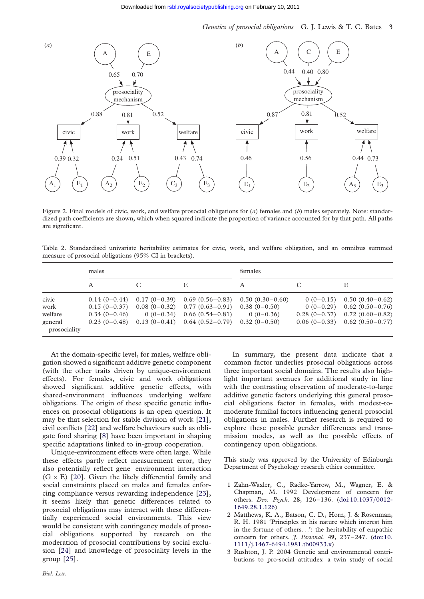Genetics of prosocial obligations G. J. Lewis & T. C. Bates 3

<span id="page-3-0"></span>

Figure 2. Final models of civic, work, and welfare prosocial obligations for  $(a)$  females and  $(b)$  males separately. Note: standardized path coefficients are shown, which when squared indicate the proportion of variance accounted for by that path. All paths are significant.

Table 2. Standardised univariate heritability estimates for civic, work, and welfare obligation, and an omnibus summed measure of prosocial obligations (95% CI in brackets).

|                         | males          |             |                                                 | females           |                |                                  |  |
|-------------------------|----------------|-------------|-------------------------------------------------|-------------------|----------------|----------------------------------|--|
|                         | A              |             | Е                                               | А                 |                | Е                                |  |
| civic                   |                |             | $0.14(0-0.44)$ $0.17(0-0.39)$ $0.69(0.56-0.83)$ | $0.50(0.30-0.60)$ |                | $0(0-0.15)$ 0.50 $(0.40-0.62)$   |  |
| work                    | $0.15(0-0.37)$ |             | $0.08(0-0.32)$ $0.77(0.63-0.91)$                | $0.38(0-0.50)$    |                | $0(0-0.29)$ $0.62(0.50-0.76)$    |  |
| welfare                 | $0.34(0-0.46)$ | $0(0-0.34)$ | $0.66(0.54-0.81)$                               | $0(0-0.36)$       | $0.28(0-0.37)$ | $0.72(0.60 - 0.82)$              |  |
| general<br>prosociality |                |             | $0.23(0-0.48)$ $0.13(0-0.41)$ $0.64(0.52-0.79)$ | $0.32(0-0.50)$    |                | $0.06(0-0.33)$ $0.62(0.50-0.77)$ |  |

At the domain-specific level, for males, welfare obligation showed a significant additive genetic component (with the other traits driven by unique-environment effects). For females, civic and work obligations showed significant additive genetic effects, with shared-environment influences underlying welfare obligations. The origin of these specific genetic influences on prosocial obligations is an open question. It may be that selection for stable division of work [[21\]](#page-4-0), civil conflicts [[22\]](#page-4-0) and welfare behaviours such as obligate food sharing [\[8\]](#page-4-0) have been important in shaping specific adaptations linked to in-group cooperation.

Unique-environment effects were often large. While these effects partly reflect measurement error, they also potentially reflect gene –environment interaction  $(G \times E)$  [[20\]](#page-4-0). Given the likely differential family and social constraints placed on males and females enforcing compliance versus rewarding independence [[23\]](#page-4-0), it seems likely that genetic differences related to prosocial obligations may interact with these differentially experienced social environments. This view would be consistent with contingency models of prosocial obligations supported by research on the moderation of prosocial contributions by social exclusion [\[24](#page-4-0)] and knowledge of prosociality levels in the group [\[25](#page-4-0)].

In summary, the present data indicate that a common factor underlies prosocial obligations across three important social domains. The results also highlight important avenues for additional study in line with the contrasting observation of moderate-to-large additive genetic factors underlying this general prosocial obligations factor in females, with modest-tomoderate familial factors influencing general prosocial obligations in males. Further research is required to explore these possible gender differences and transmission modes, as well as the possible effects of contingency upon obligations.

This study was approved by the University of Edinburgh Department of Psychology research ethics committee.

- 1 Zahn-Waxler, C., Radke-Yarrow, M., Wagner, E. & Chapman, M. 1992 Development of concern for others. Dev. Psych. 28, 126–136. [\(doi:10.1037](http://dx.doi.org/10.1037/0012-1649.28.1.126)/0012- [1649.28.1.126](http://dx.doi.org/10.1037/0012-1649.28.1.126))
- 2 Matthews, K. A., Batson, C. D., Horn, J. & Rosenman, R. H. 1981 'Principles in his nature which interest him in the fortune of others...': the heritability of empathic concern for others.  $\tilde{f}$ . Personal. 49, 237-247. ([doi:10.](http://dx.doi.org/10.1111/j.1467-6494.1981.tb00933.x) 1111/[j.1467-6494.1981.tb00933.x\)](http://dx.doi.org/10.1111/j.1467-6494.1981.tb00933.x)
- 3 Rushton, J. P. 2004 Genetic and environmental contributions to pro-social attitudes: a twin study of social